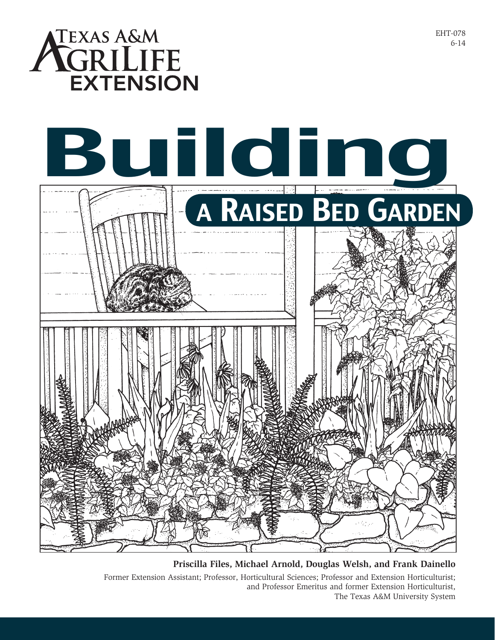

**Priscilla Files, Michael Arnold, Douglas Welsh, and Frank Dainello** Former Extension Assistant; Professor, Horticultural Sciences; Professor and Extension Horticulturist; and Professor Emeritus and former Extension Horticulturist, The Texas A&M University System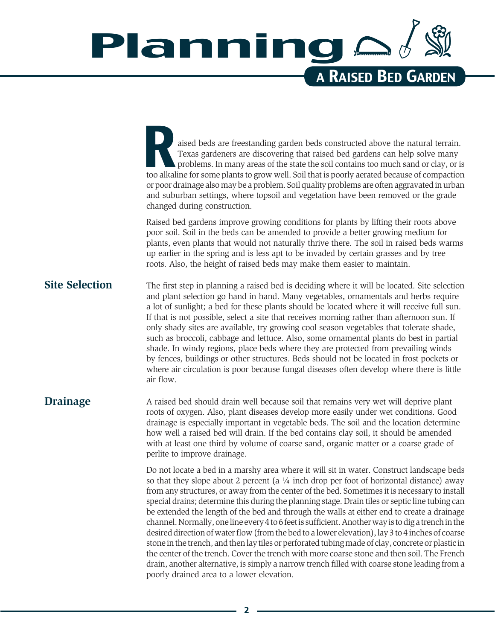## Planning a Raised Bed Garden

aised beds are freestanding garden beds constructed above the natural terrain.<br>Texas gardeners are discovering that raised bed gardens can help solve many problems. In many areas of the state the soil contains too much san Texas gardeners are discovering that raised bed gardens can help solve many problems. In many areas of the state the soil contains too much sand or clay, or is too alkaline for some plants to grow well. Soil that is poorly aerated because of compaction or poor drainage also may be a problem. Soil quality problems are often aggravated in urban and suburban settings, where topsoil and vegetation have been removed or the grade changed during construction.

Raised bed gardens improve growing conditions for plants by lifting their roots above poor soil. Soil in the beds can be amended to provide a better growing medium for plants, even plants that would not naturally thrive there. The soil in raised beds warms up earlier in the spring and is less apt to be invaded by certain grasses and by tree roots. Also, the height of raised beds may make them easier to maintain.

#### **Site Selection**

The first step in planning a raised bed is deciding where it will be located. Site selection and plant selection go hand in hand. Many vegetables, ornamentals and herbs require a lot of sunlight; a bed for these plants should be located where it will receive full sun. If that is not possible, select a site that receives morning rather than afternoon sun. If only shady sites are available, try growing cool season vegetables that tolerate shade, such as broccoli, cabbage and lettuce. Also, some ornamental plants do best in partial shade. In windy regions, place beds where they are protected from prevailing winds by fences, buildings or other structures. Beds should not be located in frost pockets or where air circulation is poor because fungal diseases often develop where there is little air flow.

#### **Drainage**

A raised bed should drain well because soil that remains very wet will deprive plant roots of oxygen. Also, plant diseases develop more easily under wet conditions. Good drainage is especially important in vegetable beds. The soil and the location determine how well a raised bed will drain. If the bed contains clay soil, it should be amended with at least one third by volume of coarse sand, organic matter or a coarse grade of perlite to improve drainage.

Do not locate a bed in a marshy area where it will sit in water. Construct landscape beds so that they slope about 2 percent (a  $\frac{1}{4}$  inch drop per foot of horizontal distance) away from any structures, or away from the center of the bed. Sometimes it is necessary to install special drains; determine this during the planning stage. Drain tiles or septic line tubing can be extended the length of the bed and through the walls at either end to create a drainage channel. Normally, one line every 4 to 6 feet is sufficient. Another way is to dig a trench in the desired direction of water flow (from the bed to a lower elevation), lay 3 to 4 inches of coarse stone in the trench, and then lay tiles or perforated tubing made of clay, concrete or plastic in the center of the trench. Cover the trench with more coarse stone and then soil. The French drain, another alternative, is simply a narrow trench filled with coarse stone leading from a poorly drained area to a lower elevation.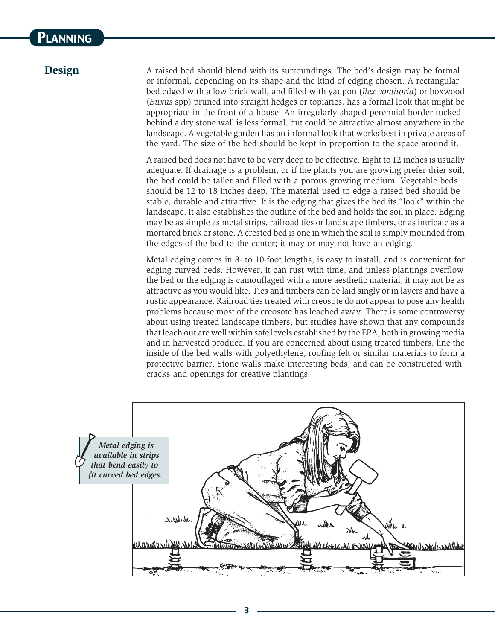### **PLANNING**

#### **Design**

A raised bed should blend with its surroundings. The bed's design may be formal or informal, depending on its shape and the kind of edging chosen. A rectangular bed edged with a low brick wall, and filled with yaupon (*Ilex vomitoria*) or boxwood (*Buxus* spp) pruned into straight hedges or topiaries, has a formal look that might be appropriate in the front of a house. An irregularly shaped perennial border tucked behind a dry stone wall is less formal, but could be attractive almost anywhere in the landscape. A vegetable garden has an informal look that works best in private areas of the yard. The size of the bed should be kept in proportion to the space around it.

A raised bed does not have to be very deep to be effective. Eight to 12 inches is usually adequate. If drainage is a problem, or if the plants you are growing prefer drier soil, the bed could be taller and filled with a porous growing medium. Vegetable beds should be 12 to 18 inches deep. The material used to edge a raised bed should be stable, durable and attractive. It is the edging that gives the bed its "look" within the landscape. It also establishes the outline of the bed and holds the soil in place. Edging may be as simple as metal strips, railroad ties or landscape timbers, or as intricate as a mortared brick or stone. A crested bed is one in which the soil is simply mounded from the edges of the bed to the center; it may or may not have an edging.

Metal edging comes in 8- to 10-foot lengths, is easy to install, and is convenient for edging curved beds. However, it can rust with time, and unless plantings overflow the bed or the edging is camouflaged with a more aesthetic material, it may not be as attractive as you would like. Ties and timbers can be laid singly or in layers and have a rustic appearance. Railroad ties treated with creosote do not appear to pose any health problems because most of the creosote has leached away. There is some controversy about using treated landscape timbers, but studies have shown that any compounds that leach out are well within safe levels established by the EPA, both in growing media and in harvested produce. If you are concerned about using treated timbers, line the inside of the bed walls with polyethylene, roofing felt or similar materials to form a protective barrier. Stone walls make interesting beds, and can be constructed with cracks and openings for creative plantings.

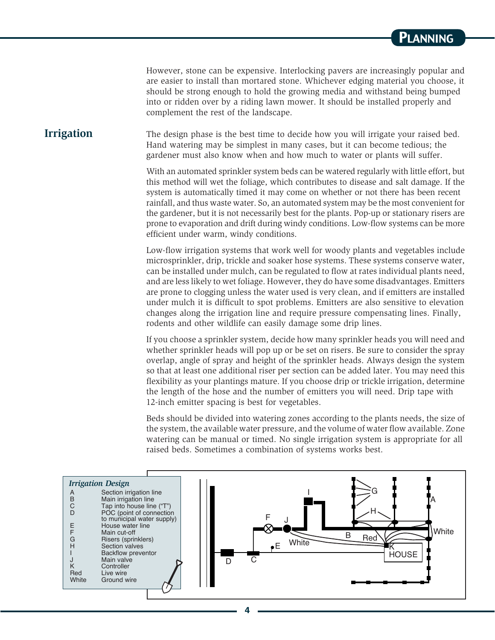However, stone can be expensive. Interlocking pavers are increasingly popular and are easier to install than mortared stone. Whichever edging material you choose, it should be strong enough to hold the growing media and withstand being bumped into or ridden over by a riding lawn mower. It should be installed properly and complement the rest of the landscape.

#### **Irrigation**

The design phase is the best time to decide how you will irrigate your raised bed. Hand watering may be simplest in many cases, but it can become tedious; the gardener must also know when and how much to water or plants will suffer.

With an automated sprinkler system beds can be watered regularly with little effort, but this method will wet the foliage, which contributes to disease and salt damage. If the system is automatically timed it may come on whether or not there has been recent rainfall, and thus waste water. So, an automated system may be the most convenient for the gardener, but it is not necessarily best for the plants. Pop-up or stationary risers are prone to evaporation and drift during windy conditions. Low-flow systems can be more efficient under warm, windy conditions.

Low-flow irrigation systems that work well for woody plants and vegetables include microsprinkler, drip, trickle and soaker hose systems. These systems conserve water, can be installed under mulch, can be regulated to flow at rates individual plants need, and are less likely to wet foliage. However, they do have some disadvantages. Emitters are prone to clogging unless the water used is very clean, and if emitters are installed under mulch it is difficult to spot problems. Emitters are also sensitive to elevation changes along the irrigation line and require pressure compensating lines. Finally, rodents and other wildlife can easily damage some drip lines.

If you choose a sprinkler system, decide how many sprinkler heads you will need and whether sprinkler heads will pop up or be set on risers. Be sure to consider the spray overlap, angle of spray and height of the sprinkler heads. Always design the system so that at least one additional riser per section can be added later. You may need this flexibility as your plantings mature. If you choose drip or trickle irrigation, determine the length of the hose and the number of emitters you will need. Drip tape with 12-inch emitter spacing is best for vegetables.

Beds should be divided into watering zones according to the plants needs, the size of the system, the available water pressure, and the volume of water flow available. Zone watering can be manual or timed. No single irrigation system is appropriate for all raised beds. Sometimes a combination of systems works best.

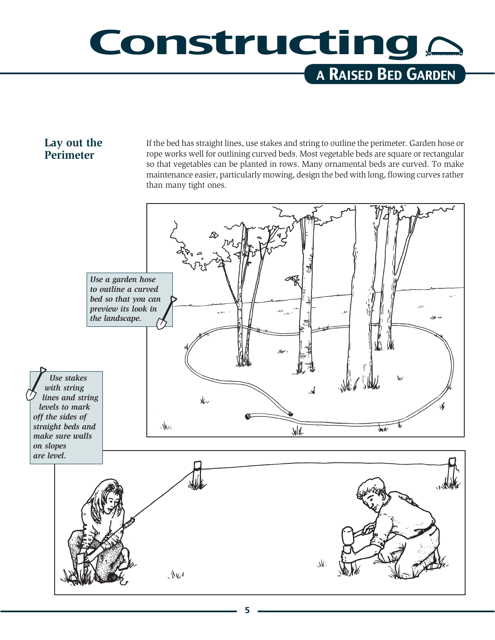### Constructing a Raised Bed Garden

#### **Lay out the Perimeter**

If the bed has straight lines, use stakes and string to outline the perimeter. Garden hose or rope works well for outlining curved beds. Most vegetable beds are square or rectangular so that vegetables can be planted in rows. Many ornamental beds are curved. To make maintenance easier, particularly mowing, design the bed with long, flowing curves rather than many tight ones.

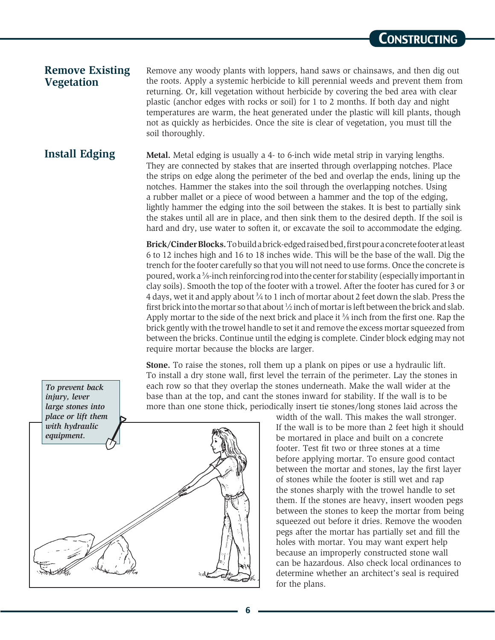#### **Remove Existing Vegetation**

Remove any woody plants with loppers, hand saws or chainsaws, and then dig out the roots. Apply a systemic herbicide to kill perennial weeds and prevent them from returning. Or, kill vegetation without herbicide by covering the bed area with clear plastic (anchor edges with rocks or soil) for 1 to 2 months. If both day and night temperatures are warm, the heat generated under the plastic will kill plants, though not as quickly as herbicides. Once the site is clear of vegetation, you must till the soil thoroughly.

#### **Install Edging**

*To prevent back injury, lever* 

**Metal.** Metal edging is usually a 4- to 6-inch wide metal strip in varying lengths. They are connected by stakes that are inserted through overlapping notches. Place the strips on edge along the perimeter of the bed and overlap the ends, lining up the notches. Hammer the stakes into the soil through the overlapping notches. Using a rubber mallet or a piece of wood between a hammer and the top of the edging, lightly hammer the edging into the soil between the stakes. It is best to partially sink the stakes until all are in place, and then sink them to the desired depth. If the soil is hard and dry, use water to soften it, or excavate the soil to accommodate the edging.

**Brick/Cinder Blocks.** To build a brick-edged raised bed, first pour a concrete footer at least 6 to 12 inches high and 16 to 18 inches wide. This will be the base of the wall. Dig the trench for the footer carefully so that you will not need to use forms. Once the concrete is poured, work a <sup>3</sup>/<sub>8</sub>-inch reinforcing rod into the center for stability (especially important in clay soils). Smooth the top of the footer with a trowel. After the footer has cured for 3 or 4 days, wet it and apply about <sup>3</sup>/4 to 1 inch of mortar about 2 feet down the slab. Press the first brick into the mortar so that about  $\frac{1}{2}$  inch of mortar is left between the brick and slab. Apply mortar to the side of the next brick and place it <sup>3</sup>/<sub>8</sub> inch from the first one. Rap the brick gently with the trowel handle to set it and remove the excess mortar squeezed from between the bricks. Continue until the edging is complete. Cinder block edging may not require mortar because the blocks are larger.

**Stone.** To raise the stones, roll them up a plank on pipes or use a hydraulic lift. To install a dry stone wall, first level the terrain of the perimeter. Lay the stones in each row so that they overlap the stones underneath. Make the wall wider at the base than at the top, and cant the stones inward for stability. If the wall is to be more than one stone thick, periodically insert tie stones/long stones laid across the



width of the wall. This makes the wall stronger. If the wall is to be more than 2 feet high it should be mortared in place and built on a concrete footer. Test fit two or three stones at a time before applying mortar. To ensure good contact between the mortar and stones, lay the first layer of stones while the footer is still wet and rap the stones sharply with the trowel handle to set them. If the stones are heavy, insert wooden pegs between the stones to keep the mortar from being squeezed out before it dries. Remove the wooden pegs after the mortar has partially set and fill the holes with mortar. You may want expert help because an improperly constructed stone wall can be hazardous. Also check local ordinances to determine whether an architect's seal is required for the plans.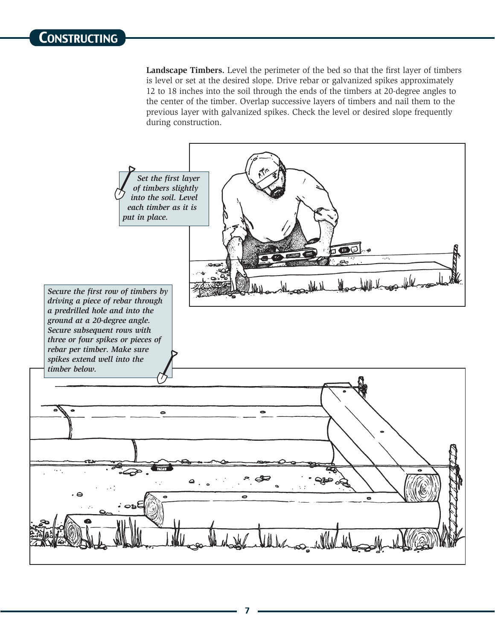**Landscape Timbers.** Level the perimeter of the bed so that the first layer of timbers is level or set at the desired slope. Drive rebar or galvanized spikes approximately 12 to 18 inches into the soil through the ends of the timbers at 20-degree angles to the center of the timber. Overlap successive layers of timbers and nail them to the previous layer with galvanized spikes. Check the level or desired slope frequently during construction.

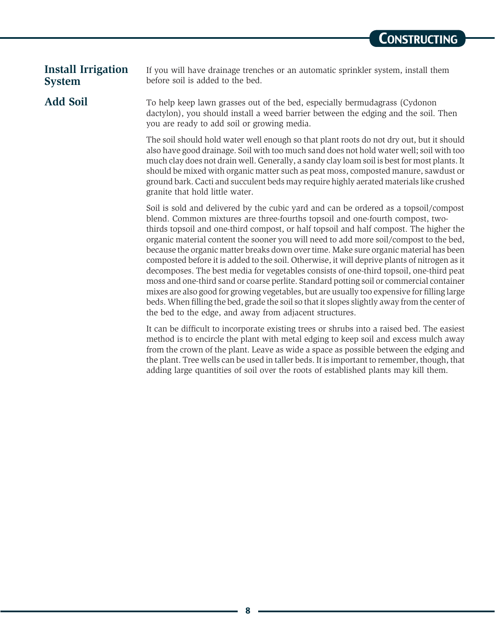#### **Install Irrigation System**

**Add Soil**

If you will have drainage trenches or an automatic sprinkler system, install them before soil is added to the bed.

To help keep lawn grasses out of the bed, especially bermudagrass (Cydonon dactylon), you should install a weed barrier between the edging and the soil. Then you are ready to add soil or growing media.

The soil should hold water well enough so that plant roots do not dry out, but it should also have good drainage. Soil with too much sand does not hold water well; soil with too much clay does not drain well. Generally, a sandy clay loam soil is best for most plants. It should be mixed with organic matter such as peat moss, composted manure, sawdust or ground bark. Cacti and succulent beds may require highly aerated materials like crushed granite that hold little water.

Soil is sold and delivered by the cubic yard and can be ordered as a topsoil/compost blend. Common mixtures are three-fourths topsoil and one-fourth compost, twothirds topsoil and one-third compost, or half topsoil and half compost. The higher the organic material content the sooner you will need to add more soil/compost to the bed, because the organic matter breaks down over time. Make sure organic material has been composted before it is added to the soil. Otherwise, it will deprive plants of nitrogen as it decomposes. The best media for vegetables consists of one-third topsoil, one-third peat moss and one-third sand or coarse perlite. Standard potting soil or commercial container mixes are also good for growing vegetables, but are usually too expensive for filling large beds. When filling the bed, grade the soil so that it slopes slightly away from the center of the bed to the edge, and away from adjacent structures.

It can be difficult to incorporate existing trees or shrubs into a raised bed. The easiest method is to encircle the plant with metal edging to keep soil and excess mulch away from the crown of the plant. Leave as wide a space as possible between the edging and the plant. Tree wells can be used in taller beds. It is important to remember, though, that adding large quantities of soil over the roots of established plants may kill them.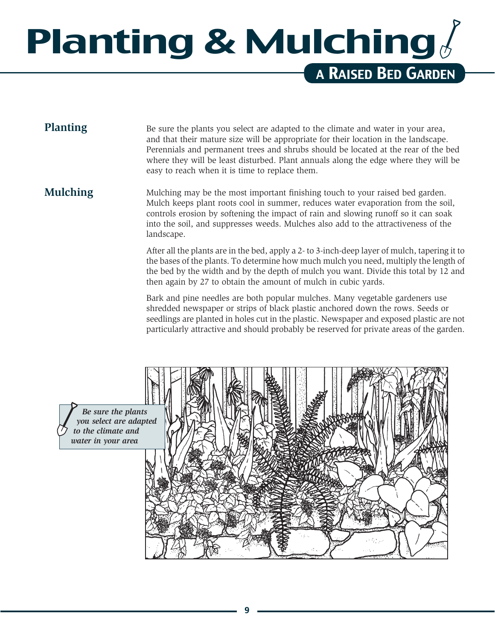### Planting & Mulching a Raised Bed Garden

#### **Planting**

Be sure the plants you select are adapted to the climate and water in your area, and that their mature size will be appropriate for their location in the landscape. Perennials and permanent trees and shrubs should be located at the rear of the bed where they will be least disturbed. Plant annuals along the edge where they will be easy to reach when it is time to replace them.

#### **Mulching**

Mulching may be the most important finishing touch to your raised bed garden. Mulch keeps plant roots cool in summer, reduces water evaporation from the soil, controls erosion by softening the impact of rain and slowing runoff so it can soak into the soil, and suppresses weeds. Mulches also add to the attractiveness of the landscape.

After all the plants are in the bed, apply a 2- to 3-inch-deep layer of mulch, tapering it to the bases of the plants. To determine how much mulch you need, multiply the length of the bed by the width and by the depth of mulch you want. Divide this total by 12 and then again by 27 to obtain the amount of mulch in cubic yards.

Bark and pine needles are both popular mulches. Many vegetable gardeners use shredded newspaper or strips of black plastic anchored down the rows. Seeds or seedlings are planted in holes cut in the plastic. Newspaper and exposed plastic are not particularly attractive and should probably be reserved for private areas of the garden.

*Be sure the plants you select are adapted to the climate and water in your area*

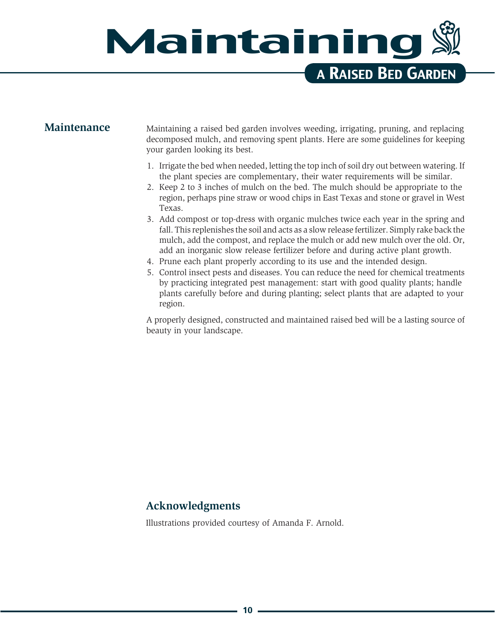### Maintaining a Raised Bed Garden

#### **Maintenance**

Maintaining a raised bed garden involves weeding, irrigating, pruning, and replacing decomposed mulch, and removing spent plants. Here are some guidelines for keeping your garden looking its best.

- 1. Irrigate the bed when needed, letting the top inch of soil dry out between watering. If the plant species are complementary, their water requirements will be similar.
- 2. Keep 2 to 3 inches of mulch on the bed. The mulch should be appropriate to the region, perhaps pine straw or wood chips in East Texas and stone or gravel in West Texas.
- 3. Add compost or top-dress with organic mulches twice each year in the spring and fall. This replenishes the soil and acts as a slow release fertilizer. Simply rake back the mulch, add the compost, and replace the mulch or add new mulch over the old. Or, add an inorganic slow release fertilizer before and during active plant growth.
- 4. Prune each plant properly according to its use and the intended design.
- 5. Control insect pests and diseases. You can reduce the need for chemical treatments by practicing integrated pest management: start with good quality plants; handle plants carefully before and during planting; select plants that are adapted to your region.

A properly designed, constructed and maintained raised bed will be a lasting source of beauty in your landscape.

#### **Acknowledgments**

Illustrations provided courtesy of Amanda F. Arnold.